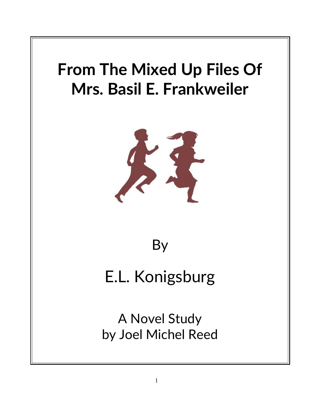

# By

# E.L. Konigsburg

A Novel Study by Joel Michel Reed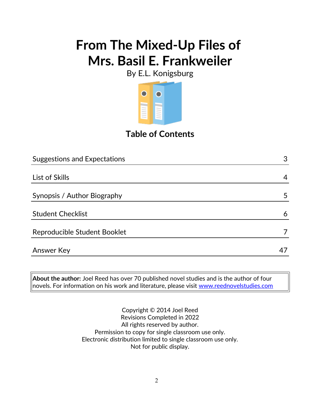By E.L. Konigsburg



## **Table of Contents**

| <b>Suggestions and Expectations</b> | 3  |
|-------------------------------------|----|
|                                     |    |
| List of Skills                      | 4  |
| Synopsis / Author Biography         | 5  |
| <b>Student Checklist</b>            | 6  |
| Reproducible Student Booklet        |    |
| <b>Answer Key</b>                   | 47 |

**About the author:** Joel Reed has over 70 published novel studies and is the author of four novels. For information on his work and literature, please visit [www.reednovelstudies.com](http://www.reednovelstudies.com/)

> Copyright © 2014 Joel Reed Revisions Completed in 2022 All rights reserved by author. Permission to copy for single classroom use only. Electronic distribution limited to single classroom use only. Not for public display.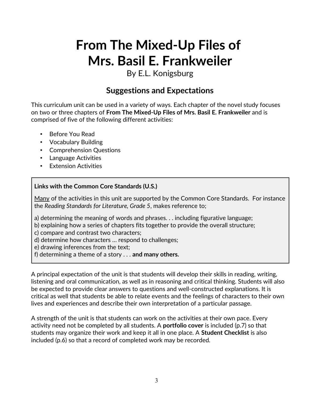By E.L. Konigsburg

### **Suggestions and Expectations**

This curriculum unit can be used in a variety of ways. Each chapter of the novel study focuses on two or three chapters of **From The Mixed-Up Files of Mrs. Basil E. Frankweiler** and is comprised of five of the following different activities:

- Before You Read
- Vocabulary Building
- Comprehension Questions
- Language Activities
- Extension Activities

#### **Links with the Common Core Standards (U.S.)**

Many of the activities in this unit are supported by the Common Core Standards. For instance the *Reading Standards for Literature, Grade 5*, makes reference to;

a) determining the meaning of words and phrases. . . including figurative language;

- b) explaining how a series of chapters fits together to provide the overall structure;
- c) compare and contrast two characters;
- d) determine how characters … respond to challenges;
- e) drawing inferences from the text;
- f) determining a theme of a story . . . **and many others.**

A principal expectation of the unit is that students will develop their skills in reading, writing, listening and oral communication, as well as in reasoning and critical thinking. Students will also be expected to provide clear answers to questions and well-constructed explanations. It is critical as well that students be able to relate events and the feelings of characters to their own lives and experiences and describe their own interpretation of a particular passage.

A strength of the unit is that students can work on the activities at their own pace. Every activity need not be completed by all students. A **portfolio cover** is included (p.7) so that students may organize their work and keep it all in one place. A **Student Checklist** is also included (p.6) so that a record of completed work may be recorded.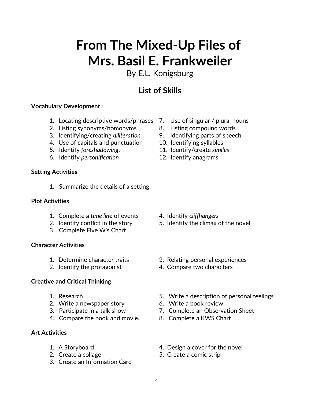By E.L. Konigsburg

## **List of Skills**

#### **Vocabulary Development**

- 1. Locating descriptive words/phrases 7. Use of singular / plural nouns
- 2. Listing synonyms/homonyms 8. Listing compound words
- 3. Identifying/creating *alliteration* 9. Identifying parts of speech
- 4. Use of capitals and punctuation 10. Identifying syllables
- 5. Identify *foreshadowing*. 11. Identify/create *similes*
- 6. Identify *personification* 12. Identify anagrams

#### **Setting Activities**

1. Summarize the details of a setting

#### **Plot Activities**

- 1. Complete a *time line* of events 4. Identify *cliffhangers*
- 
- 3. Complete Five W's Chart

#### **Character Activities**

- 
- 2. Identify the protagonist **4. Compare two characters**

#### **Creative and Critical Thinking**

- 
- 2. Write a newspaper story 6. Write a book review
- 
- 4. Compare the book and movie. 8. Complete a KWS Chart

#### **Art Activities**

- 
- 
- 3. Create an Information Card
- 
- 
- 
- 
- 
- 

- 
- 2. Identify conflict in the story 5. Identify the climax of the novel.
- 1. Determine character traits 3. Relating personal experiences
	-
- 1. Research 5. Write a description of personal feelings
	-
- 3. Participate in a talk show 7. Complete an Observation Sheet
	-
- 1. A Storyboard **1.** A Storyboard **1.** A Storyboard
- 2. Create a collage 5. Create a comic strip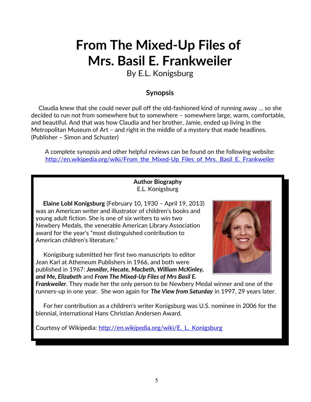By E.L. Konigsburg

#### **Synopsis**

 Claudia knew that she could never pull off the old-fashioned kind of running away … so she decided to run not from somewhere but to somewhere – somewhere large, warm, comfortable, and beautiful. And that was how Claudia and her brother, Jamie, ended up living in the Metropolitan Museum of Art – and right in the middle of a mystery that made headlines. (Publisher – Simon and Schuster)

A complete synopsis and other helpful reviews can be found on the following website: [http://en.wikipedia.org/wiki/From\\_the\\_Mixed-Up\\_Files\\_of\\_Mrs.\\_Basil\\_E.\\_Frankweiler](http://en.wikipedia.org/wiki/From_the_Mixed-Up_Files_of_Mrs._Basil_E._Frankweiler)

#### **Author Biography** E.L. Konigsburg

 **Elaine Lobl Konigsburg** (February 10, 1930 – April 19, 2013) was an American writer and illustrator of children's books and young adult fiction. She is one of six writers to win two Newbery Medals, the venerable American Library Association award for the year's "most distinguished contribution to American children's literature."

 Konigsburg submitted her first two manuscripts to editor Jean Karl at Atheneum Publishers in 1966, and both were published in 1967: *Jennifer, Hecate, Macbeth, William McKinley, and Me, Elizabeth* and *From The Mixed-Up Files of Mrs Basil E.*



*Frankweiler*. They made her the only person to be Newbery Medal winner and one of the runners-up in one year. She won again for *The View from Saturday* in 1997, 29 years later.

 For her contribution as a children's writer Konigsburg was U.S. nominee in 2006 for the biennial, international Hans Christian Andersen Award.

Courtesy of Wikipedia: http://en.wikipedia.org/wiki/E. L. Konigsburg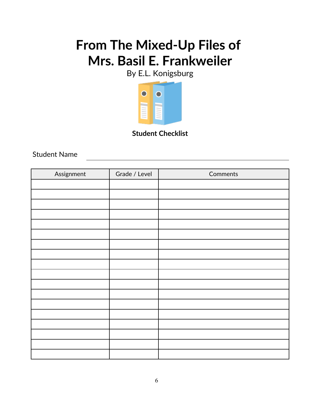By E.L. Konigsburg



**Student Checklist**

Student Name

| Assignment | Grade / Level | Comments |
|------------|---------------|----------|
|            |               |          |
|            |               |          |
|            |               |          |
|            |               |          |
|            |               |          |
|            |               |          |
|            |               |          |
|            |               |          |
|            |               |          |
|            |               |          |
|            |               |          |
|            |               |          |
|            |               |          |
|            |               |          |
|            |               |          |
|            |               |          |
|            |               |          |
|            |               |          |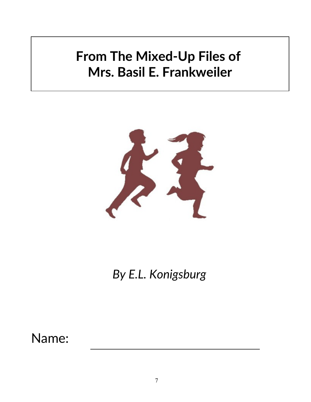

*By E.L. Konigsburg*

Name: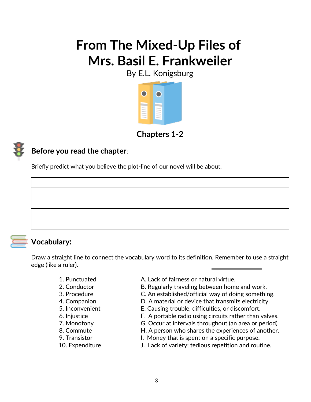By E.L. Konigsburg



**Chapters 1***-***2**



### **Before you read the chapter**:

Briefly predict what you believe the plot-line of our novel will be about.



### **Vocabulary:**

Draw a straight line to connect the vocabulary word to its definition. Remember to use a straight edge (like a ruler).

- 
- 
- 
- 
- 
- 
- 
- 
- 
- 
- 1. Punctuated A. Lack of fairness or natural virtue.
- 2. Conductor **B. Regularly traveling between home and work.**
- 3. Procedure C. An established/official way of doing something.
- 4. Companion **D. A material or device that transmits electricity.**
- 5. Inconvenient E. Causing trouble, difficulties, or discomfort.
- 6. Injustice F. A portable radio using circuits rather than valves.
- 7. Monotony G. Occur at intervals throughout (an area or period)
- 8. Commute H. A person who shares the experiences of another.
- 9. Transistor **I.** Money that is spent on a specific purpose.
- 10. Expenditure J. Lack of variety; tedious repetition and routine.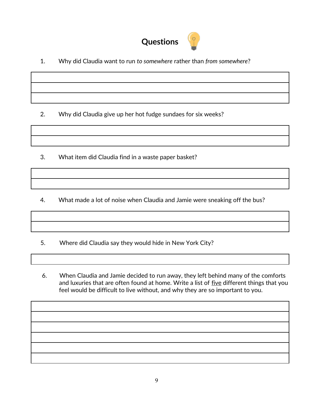

1. Why did Claudia want to run *to somewhere* rather than *from somewhere*?

2. Why did Claudia give up her hot fudge sundaes for six weeks?

3. What item did Claudia find in a waste paper basket?

4. What made a lot of noise when Claudia and Jamie were sneaking off the bus?

5. Where did Claudia say they would hide in New York City?

 6. When Claudia and Jamie decided to run away, they left behind many of the comforts and luxuries that are often found at home. Write a list of five different things that you feel would be difficult to live without, and why they are so important to you.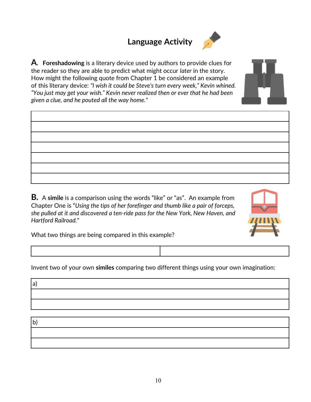# **Language Activity**



**A. Foreshadowing** is a literary device used by authors to provide clues for the reader so they are able to predict what might occur *later* in the story. How might the following quote from Chapter 1 be considered an example of this literary device: *"I wish it could be Steve's turn every week," Kevin whined. "You just may get your wish." Kevin never realized then or ever that he had been given a clue, and he pouted all the way home."*

**B.** A **simile** is a comparison using the words "like" or "as". An example from Chapter One is "*Using the tips of her forefinger and thumb like a pair of forceps, she pulled at it and discovered a ten-ride pass for the New York, New Haven, and Hartford Railroad.*"



What two things are being compared in this example?

Invent two of your own **similes** comparing two different things using your own imagination:

b)

a)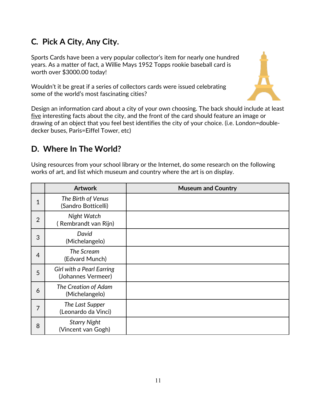### **C***.* **Pick A City, Any City.**

Sports Cards have been a very popular collector's item for nearly one hundred years. As a matter of fact, a Willie Mays 1952 Topps rookie baseball card is worth over \$3000.00 today!

Wouldn't it be great if a series of collectors cards were issued celebrating some of the world's most fascinating cities?



Design an information card about a city of your own choosing. The back should include at least five interesting facts about the city, and the front of the card should feature an image or drawing of an object that you feel best identifies the city of your choice. (i.e. London=doubledecker buses, Paris=Eiffel Tower, etc)

### **D. Where In The World?**

Using resources from your school library or the Internet, do some research on the following works of art, and list which museum and country where the art is on display.

|                | <b>Artwork</b>                                         | <b>Museum and Country</b> |
|----------------|--------------------------------------------------------|---------------------------|
| 1              | The Birth of Venus<br>(Sandro Botticelli)              |                           |
| $\overline{2}$ | Night Watch<br>(Rembrandt van Rijn)                    |                           |
| 3              | David<br>(Michelangelo)                                |                           |
| $\overline{4}$ | The Scream<br>(Edvard Munch)                           |                           |
| 5              | <b>Girl with a Pearl Earring</b><br>(Johannes Vermeer) |                           |
| 6              | The Creation of Adam<br>(Michelangelo)                 |                           |
| 7              | The Last Supper<br>(Leonardo da Vinci)                 |                           |
| 8              | <b>Starry Night</b><br>(Vincent van Gogh)              |                           |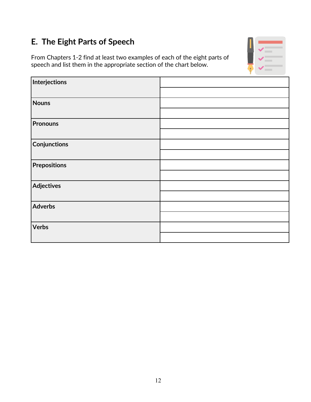# **E. The Eight Parts of Speech**

From Chapters 1-2 find at least two examples of each of the eight parts of speech and list them in the appropriate section of the chart below.



| Interjections     |  |
|-------------------|--|
|                   |  |
| Nouns             |  |
|                   |  |
| <b>Pronouns</b>   |  |
|                   |  |
| Conjunctions      |  |
|                   |  |
| Prepositions      |  |
|                   |  |
| <b>Adjectives</b> |  |
|                   |  |
| Adverbs           |  |
|                   |  |
| <b>Verbs</b>      |  |
|                   |  |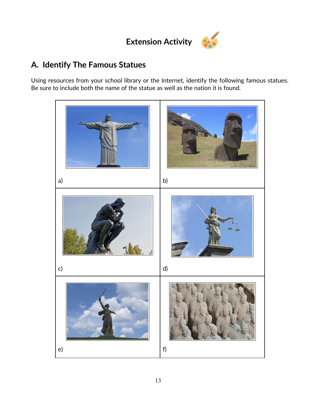# **Extension Activity**



### **A. Identify The Famous Statues**

Using resources from your school library or the Internet, identify the following famous statues. Be sure to include both the name of the statue as well as the nation it is found.